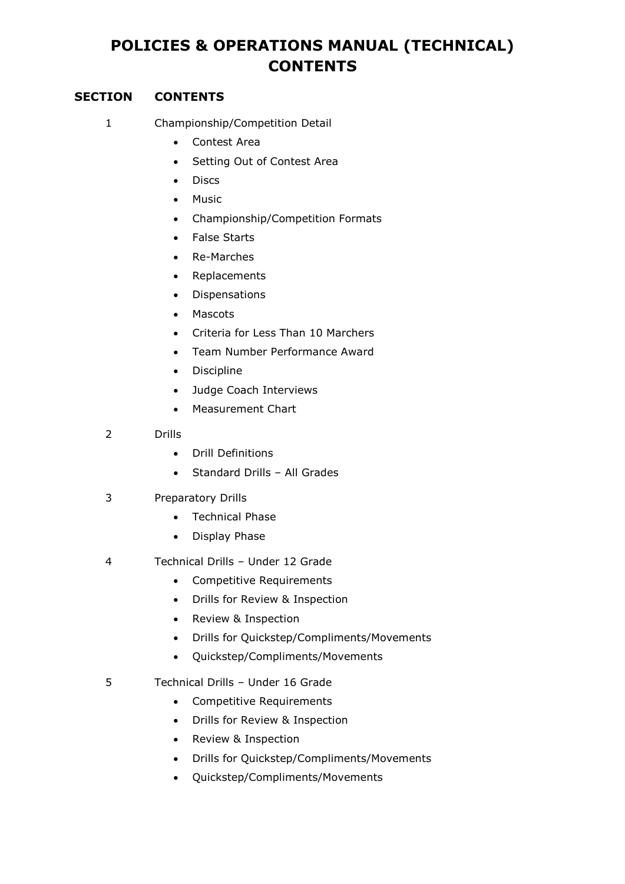## **POLICIES & OPERATIONS MANUAL (TECHNICAL) CONTENTS**

## **SECTION CONTENTS**

- 1 Championship/Competition Detail
	- Contest Area
		- Setting Out of Contest Area
		- Discs
		- Music
		- Championship/Competition Formats
		- False Starts
		- Re-Marches
		- Replacements
	- Dispensations
	- Mascots
	- Criteria for Less Than 10 Marchers
	- Team Number Performance Award
	- Discipline
	- Judge Coach Interviews
	- Measurement Chart
- 2 Drills
	- Drill Definitions
	- Standard Drills All Grades
- 3 Preparatory Drills
	- Technical Phase
	- Display Phase
- 4 Technical Drills Under 12 Grade
	- Competitive Requirements
	- Drills for Review & Inspection
	- Review & Inspection
	- Drills for Quickstep/Compliments/Movements
	- Quickstep/Compliments/Movements
- 5 Technical Drills Under 16 Grade
	- Competitive Requirements
	- Drills for Review & Inspection
	- Review & Inspection
	- Drills for Quickstep/Compliments/Movements
	- Quickstep/Compliments/Movements